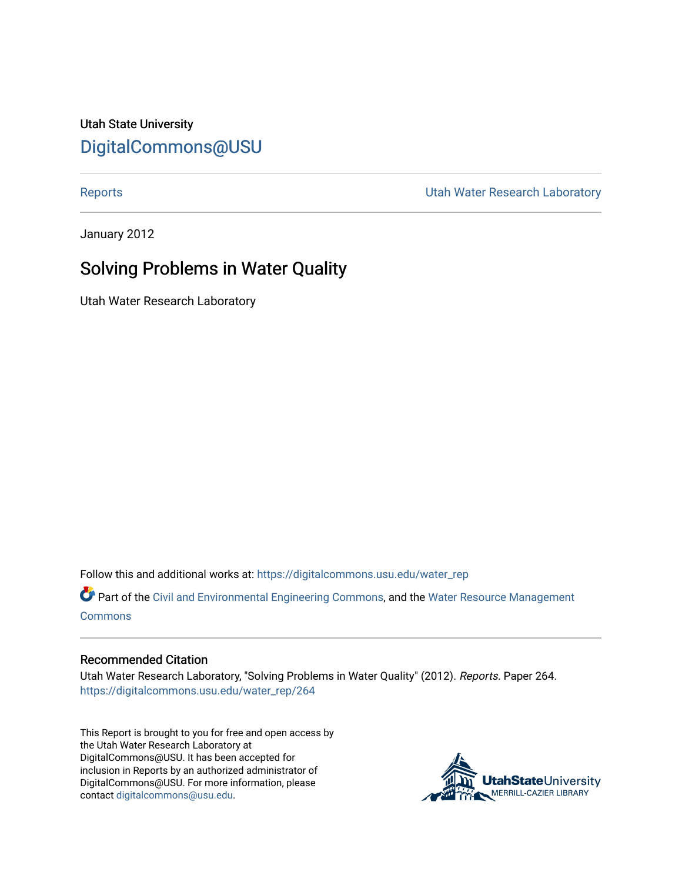Utah State University [DigitalCommons@USU](https://digitalcommons.usu.edu/)

[Reports](https://digitalcommons.usu.edu/water_rep) **National Community Community** Channel Community Utah Water Research Laboratory

January 2012

## Solving Problems in Water Quality

Utah Water Research Laboratory

Follow this and additional works at: [https://digitalcommons.usu.edu/water\\_rep](https://digitalcommons.usu.edu/water_rep?utm_source=digitalcommons.usu.edu%2Fwater_rep%2F264&utm_medium=PDF&utm_campaign=PDFCoverPages) 

Part of the [Civil and Environmental Engineering Commons](http://network.bepress.com/hgg/discipline/251?utm_source=digitalcommons.usu.edu%2Fwater_rep%2F264&utm_medium=PDF&utm_campaign=PDFCoverPages), and the [Water Resource Management](http://network.bepress.com/hgg/discipline/1057?utm_source=digitalcommons.usu.edu%2Fwater_rep%2F264&utm_medium=PDF&utm_campaign=PDFCoverPages) [Commons](http://network.bepress.com/hgg/discipline/1057?utm_source=digitalcommons.usu.edu%2Fwater_rep%2F264&utm_medium=PDF&utm_campaign=PDFCoverPages)

## Recommended Citation

Utah Water Research Laboratory, "Solving Problems in Water Quality" (2012). Reports. Paper 264. [https://digitalcommons.usu.edu/water\\_rep/264](https://digitalcommons.usu.edu/water_rep/264?utm_source=digitalcommons.usu.edu%2Fwater_rep%2F264&utm_medium=PDF&utm_campaign=PDFCoverPages)

This Report is brought to you for free and open access by the Utah Water Research Laboratory at DigitalCommons@USU. It has been accepted for inclusion in Reports by an authorized administrator of DigitalCommons@USU. For more information, please contact [digitalcommons@usu.edu](mailto:digitalcommons@usu.edu).

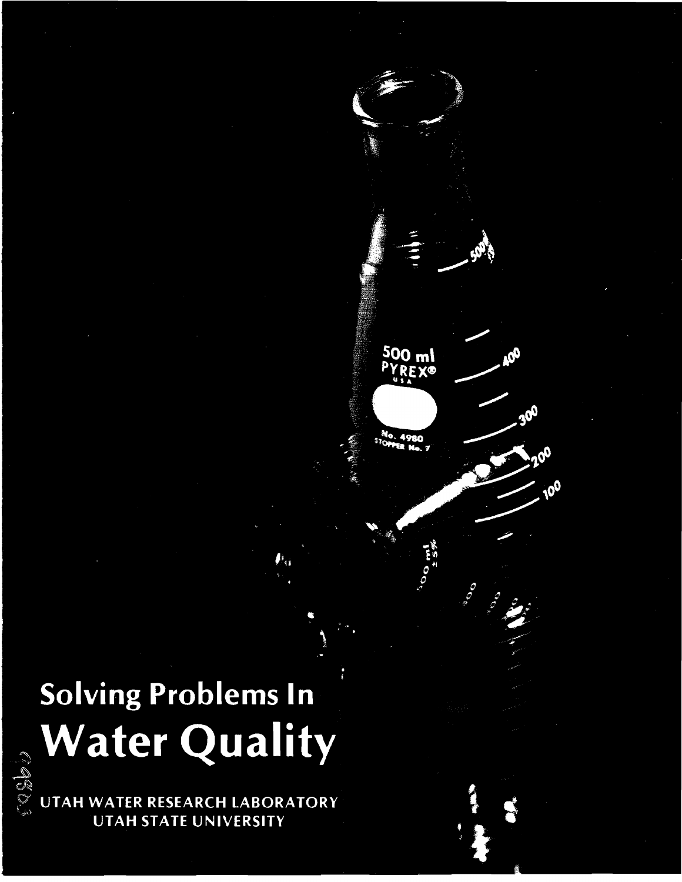# Solving Problems In **Water Quality EXAMPLE LABORATORY**

500 ml **REX®** 

**DOCE** 

**Sept.** 



UTAH STATE UNIVERSITY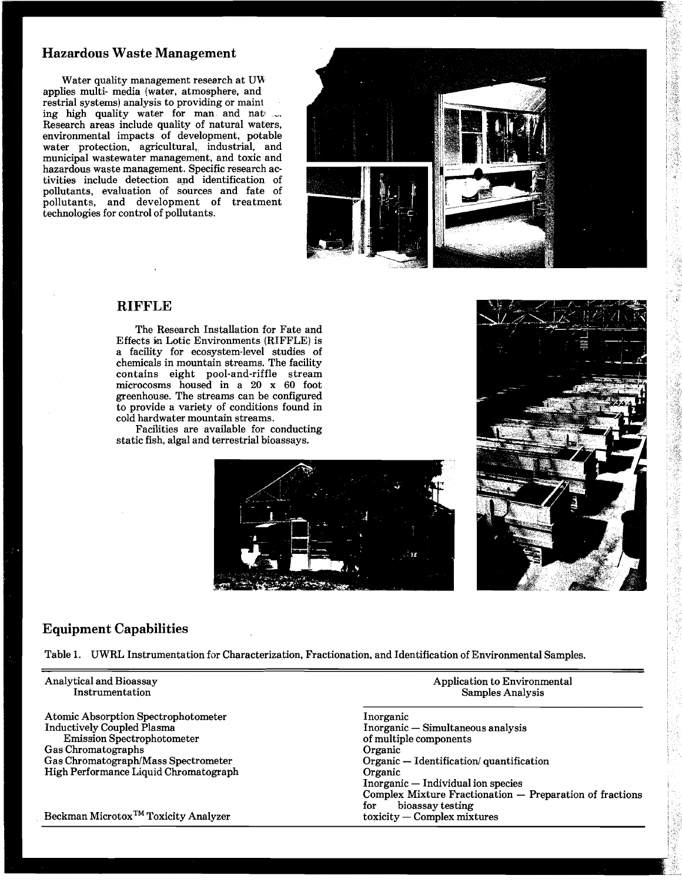## **Hazardous Waste Management**

Water quality management research at UW applies multi-media (water, atmosphere, and restrial systems) analysis to providing or maint ing high quality water for man and nat ... Research areas include quality of natural waters, environmental impacts of development, potable water protection, agricultural, industrial, and municipal wastewater management, and toxic and hazardous waste management. Specific research activities include detection and identification of pollutants, evaluation of sources and fate of pollutants, and development of treatment technologies for control of pollutants.



## **RIFFLE**

The Research Installation for Fate and Effects in Lotic Environments (RIFFLE) is a facility for ecosystem-level studies of chemicals in mountain streams. The facility contains eight pool-and-riffle stream microcosms housed in a 20 x 60 foot greenhouse. The streams can be configured to provide a variety of conditions found in cold hardwater mountain streams.

Facilities are available for conducting static fish, algal and terrestrial bioassays.





## **Equipment Capabilities**

Table 1. UWRL Instrumentation for Characterization, Fractionation, and Identification of Environmental Samples.

| Analytical and Bioassay<br>Instrumentation       | Application to Environmental<br><b>Samples Analysis</b>  |
|--------------------------------------------------|----------------------------------------------------------|
| Atomic Absorption Spectrophotometer              | Inorganic                                                |
| <b>Inductively Coupled Plasma</b>                | Inorganic — Simultaneous analysis                        |
| <b>Emission Spectrophotometer</b>                | of multiple components                                   |
| Gas Chromatographs                               | Organic                                                  |
| Gas Chromatograph/Mass Spectrometer              | Organic — Identification/ quantification                 |
| High Performance Liquid Chromatograph            | Organic                                                  |
|                                                  | Inorganic — Individual ion species                       |
|                                                  | Complex Mixture Fractionation - Preparation of fractions |
|                                                  | bioassay testing<br>for                                  |
| Beckman Microtox <sup>TM</sup> Toxicity Analyzer | $toxicity$ – Complex mixtures                            |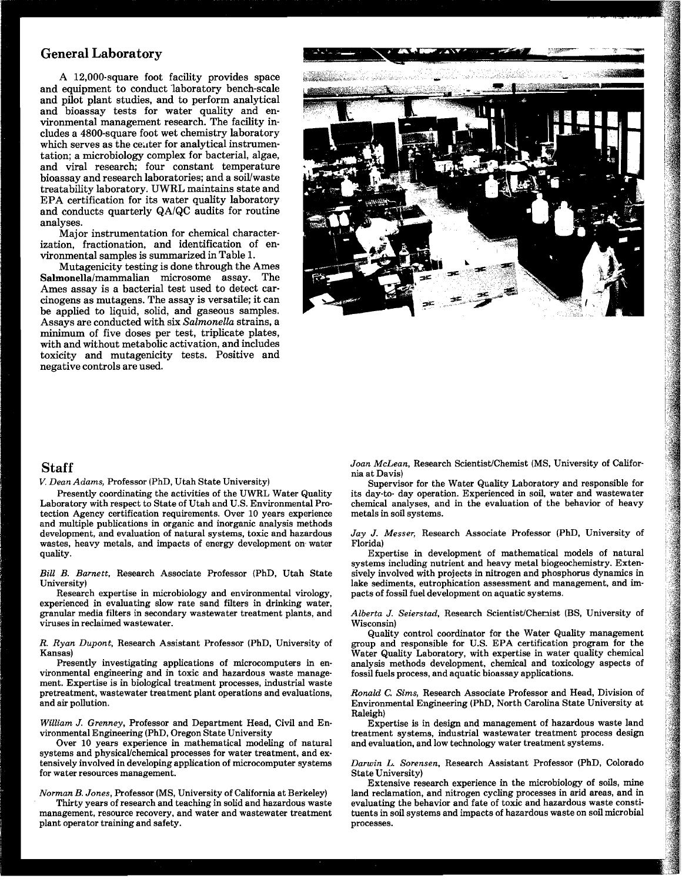A 12,000-square foot facility provides space and equipment to conduct 'laboratory bench-scale and pilot plant studies, and to perform analytical and bioassay tests for water quality and environmental management research. The facility includes a 4800-square foot wet chemistry laboratory which serves as the center for analytical instrumentation; a microbiology complex for bacterial, algae, and viral research; four constant temperature bioassay and research laboratories; and a soil/waste treatability laboratory. UWRL maintains state and EPA certification for its water quality laboratory and conducts quarterly QAlQC audits for routine analyses.

Major instrumentation for chemical characterization, fractionation, and identification of environmental samples is summarized in Table 1.

Mutagenicity testing is done through the Ames Salmonella/mammalian microsome assay. The Ames assay is a bacterial test used to detect carcinogens as mutagens. The assay is versatile; it can be applied to liquid, solid, and gaseous samples. Assays are conducted with six *Salmonella* strains, a minimum of five doses per test, triplicate plates, with and without metabolic activation, and includes toxicity and mutagenicity tests. Positive and negative controls are used.



## **Staff**

*V. Dean Adams,* Professor (PhD, Utah State University)

Presently coordinating the activities of the UWRL Water Quality Laboratory with respect to State of Utah and U.S. Environmental Protection Agency certification requirements. Over 10 years experience and multiple publications in organic and inorganic analysis methods development, and evaluation of natural systems, toxic and hazardous wastes, heavy metals, and impacts of energy development on- water quality.

*Bill B. Barnett,* Research Associate Professor (PhD, Utah State University)

Research expertise in microbiology and environmental virology, experienced in evaluating slow rate sand filters in drinking water, granular media filters in secondary wastewater treatment plants, and viruses in reclaimed wastewater.

*R. Ryan Dupont,* Research Assistant Professor (PhD, University of Kansas)

Presently investigating applications of microcomputers in environmental engineering and in toxic and hazardous waste management. Expertise is in biological treatment processes, industrial waste pretreatment, wastewater treatment plant operations and evaluations, and air pollution.

*William J. Grenney,* Professor and Department Head, Civil and Environmental Engineering (PhD, Oregon State University

Over 10 years experience in mathematical modeling of natural systems and physical/chemical processes for water treatment, and extensively involved in developing application of microcomputer systems for water resources management.

*Norman B. Jones,* Professor (MS, University of California at Berkeley)

Thirty years of research and teaching in solid and hazardous waste management, resource recovery, and water and wastewater treatment plant operator training and safety.

Joan McLean, Research Scientist/Chemist (MS, University of California at Davis)

Supervisor for the Water Quality Laboratory and responsible for its day-to- day operation. Experienced in soil, water and wastewater chemical analyses, and in the evaluation of the behavior of heavy metals in soil systems.

#### *Jay J. Messer,* Research Associate Professor (PhD, University of ~lorida)

Expertise in development of mathematical models of natural systems including nutrient and heavy metal biogeochemistry. Extensively involved with projects in nitrogen and phosphorus dynamics in lake sediments, eutrophication assessment and management, and impacts of fossil fuel development on aquatic systems.

Alberta J. Seierstad, Research Scientist/Chemist (BS, University of Wisconsin)

Quality control coordinator for the Water Quality management group and responsible for U.S. EPA certification program for the Water Quality Laboratory, with expertise in water quality chemical analysis methods development, chemical and toxicology aspects of fossil fuels process, and aquatic bioassay applications.

*Ronald* **C.** *Sims,* Research Associate Professor and Head, Division of Environmental Engineering (PhD, North Carolina State University at Raleigh)

Expertise is in design and management of hazardous waste land treatment systems, industrial wastewater treatment process design and evaluation, and low technology water treatment systems.

*Darwin L. Sorensen,* Research Assistant Professor (PhD, Colorado State University)

Extensive research experience in the microbiology of soils, mine land reclamation, and nitrogen cycling processes in arid areas, and in evaluating the behavior and fate of toxic and hazardous waste constituents in soil systems and impacts of hazardous waste on soil microbial processes.